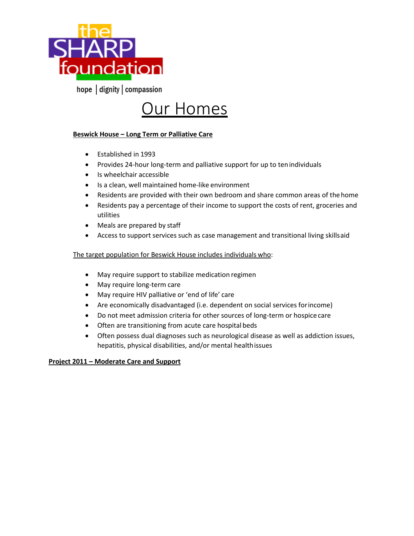

hope dignity | compassion

# **Our Homes**

## **Beswick House – Long Term or Palliative Care**

- Established in 1993
- Provides 24-hour long-term and palliative support for up to tenindividuals
- Is wheelchair accessible
- Is a clean, well maintained home-like environment
- Residents are provided with their own bedroom and share common areas of thehome
- Residents pay a percentage of their income to support the costs of rent, groceries and utilities
- Meals are prepared by staff
- Access to support services such as case management and transitional living skillsaid

### The target population for Beswick House includes individuals who:

- May require support to stabilize medication regimen
- May require long-term care
- May require HIV palliative or 'end of life' care
- Are economically disadvantaged (i.e. dependent on social services forincome)
- Do not meet admission criteria for other sources of long-term or hospice care
- Often are transitioning from acute care hospital beds
- Often possess dual diagnoses such as neurological disease as well as addiction issues, hepatitis, physical disabilities, and/or mental healthissues

#### **Project 2011 – Moderate Care and Support**